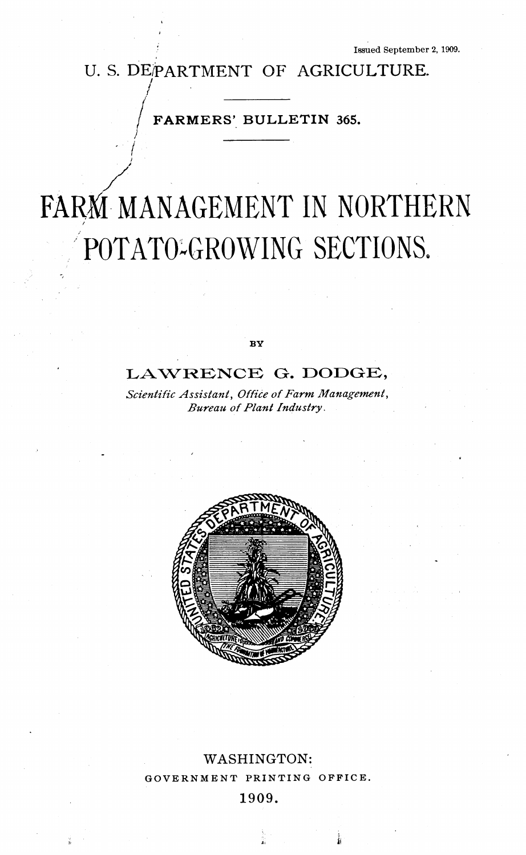# U. S. DE/PARTMENT OF AGRICULTURE. **/**

**FARMERS' BULLETIN 365.**

**• /**

# **FARâ MANAGEMENT IN NORTHERN POTATO-GROWING SECTIONS.**

**BV** 

# **LAWRENCK O. DODGE,**

*Scientific Assistant, Office of Farm Management, Bureau of Plant Industry.* 



# **WASHINGTON:** GOVERNMENT PRINTING OFFICE. **1909.**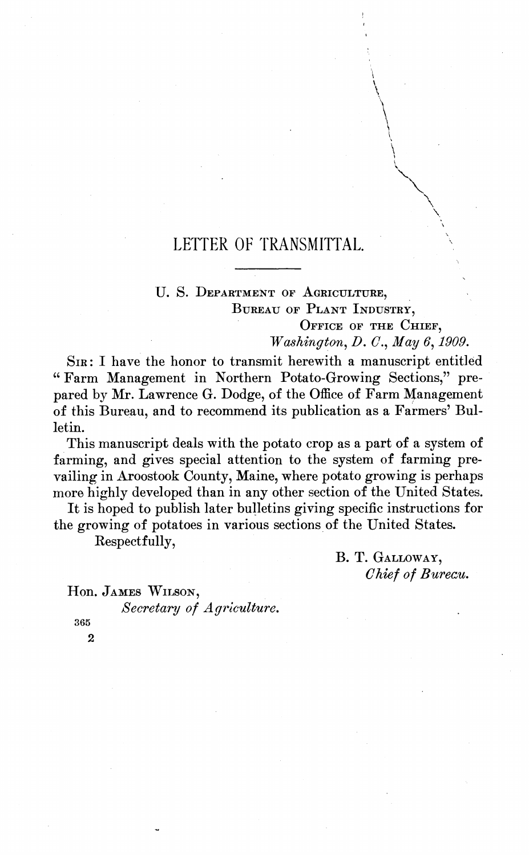# **LETTER OF TRANSMITTAL.**

### U. S. DEPARTMENT OF AGRICULTURE, BUREAU OF PLANT INDUSTRY,

OFFICE OF THE CHIEF, *Washington, D. C, May 6,1909.*

SIR : I have the honor to transmit herewith a manuscript entitled " Farm Management in Northern Potato-Growing Sections," prepared by Mr. Lawrence G. Dodge, of the Office of Farm Management of this Bureau, and to recommend its publication as a Farmers' Bulletin.

This manuscript deals with the potato crop as a part of a system of farming, and gives special attention to the system of farming prevailing in Aroostook County, Maine, where potato growing is perhaps more highly developed than in any other section of the United States.

It is hoped to publish later bulletins giving specific instructions for the growing of potatoes in various sections of the United States.

Respectfully,

B. T. GALLOWAY, *Chief of Bureau.*

Hon. JAMES WILSON,

*Secretary of Agriculture.*

365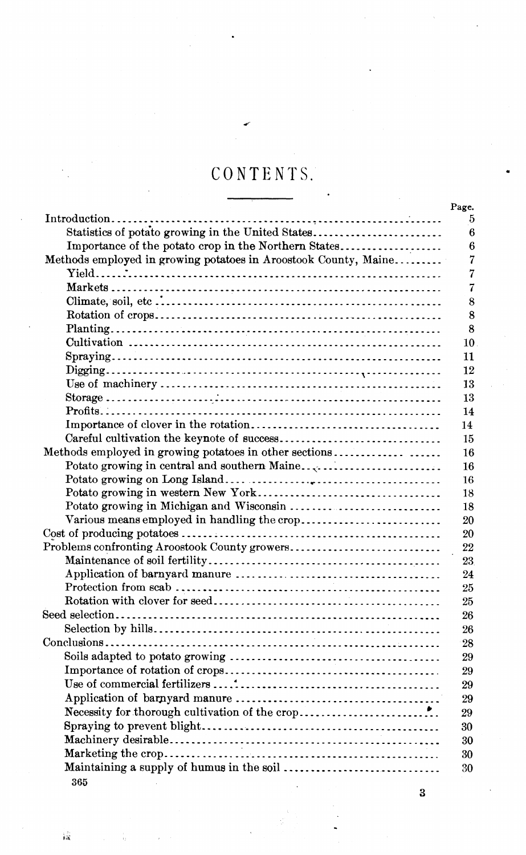# CONTENTS.

|                                                                 | Page. |
|-----------------------------------------------------------------|-------|
|                                                                 |       |
| Statistics of potato growing in the United States               |       |
| Importance of the potato crop in the Northern States            |       |
| Methods employed in growing potatoes in Aroostook County, Maine |       |
|                                                                 |       |
|                                                                 |       |
|                                                                 |       |
|                                                                 |       |
|                                                                 |       |
|                                                                 | 10    |
|                                                                 | 11    |
|                                                                 | 12    |
|                                                                 | 13    |
|                                                                 | 13    |
|                                                                 | 14    |
|                                                                 | 14    |
|                                                                 | 15    |
| Methods employed in growing potatoes in other sections          | 16    |
|                                                                 | 16    |
|                                                                 | 16    |
|                                                                 | 18    |
|                                                                 | 18    |
|                                                                 | 20    |
|                                                                 | 20    |
| Problems confronting Aroostook County growers                   | 22    |
|                                                                 | 23    |
|                                                                 |       |
|                                                                 | 24    |
|                                                                 | 25    |
|                                                                 | 25    |
|                                                                 | 26    |
|                                                                 | 26    |
|                                                                 | 28    |
|                                                                 | 29    |
|                                                                 | 29    |
|                                                                 | 29    |
|                                                                 | 29    |
|                                                                 | 29    |
|                                                                 | 30    |
|                                                                 | 30    |
|                                                                 | 30    |
| Maintaining a supply of humus in the soil                       | 30    |
| 365                                                             |       |

 $\hat{\mathbf{R}}$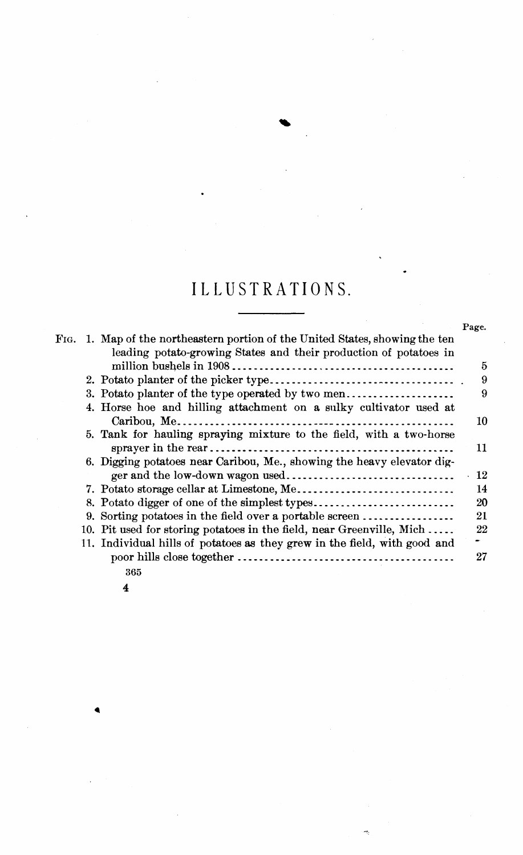# **ILLUSTRATIONS.**

|      |                                                                           | Page. |
|------|---------------------------------------------------------------------------|-------|
| F1G. | 1. Map of the northeastern portion of the United States, showing the ten  |       |
|      | leading potato-growing States and their production of potatoes in         |       |
|      |                                                                           | 5     |
|      |                                                                           | 9     |
|      | 3. Potato planter of the type operated by two men                         | 9     |
|      | 4. Horse hoe and hilling attachment on a sulky cultivator used at         |       |
|      |                                                                           | 10    |
|      | 5. Tank for hauling spraying mixture to the field, with a two-horse       |       |
|      |                                                                           | 11    |
|      | 6. Digging potatoes near Caribou, Me., showing the heavy elevator dig-    |       |
|      |                                                                           | 12    |
|      |                                                                           | 14    |
|      | 8. Potato digger of one of the simplest types                             | 20    |
|      | 9. Sorting potatoes in the field over a portable screen                   | 21    |
|      | 10. Pit used for storing potatoes in the field, near Greenville, Mich     | 22    |
|      | 11. Individual hills of potatoes as they grew in the field, with good and |       |
|      |                                                                           | 27    |
|      | 365                                                                       |       |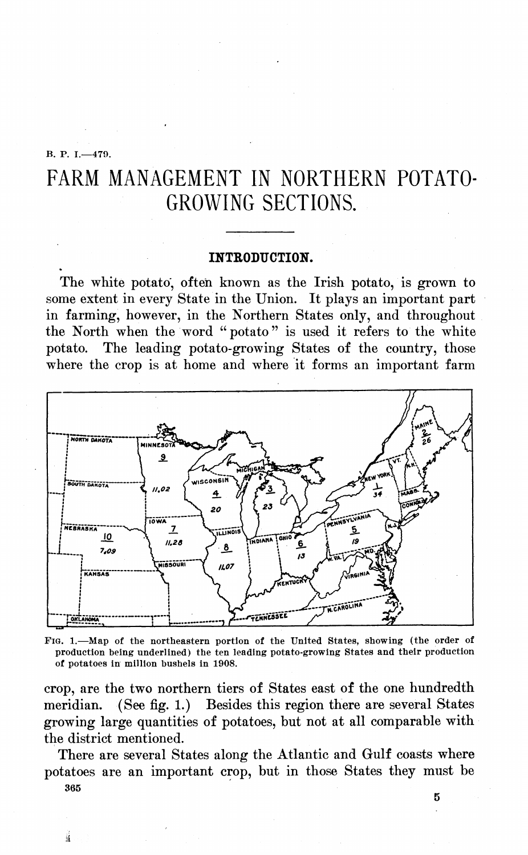#### B. P. I.—479.

ü

# FARM MANAGEMENT IN NORTHERN POTATO-GROWING SECTIONS.

#### **INTBODUCTION.**

The white potato', often known as the Irish potato, is grown to some extent in every State in the Union. It plays an important part in farming, however, in the Northern States only, and throughout the North when the word "potato" is used it refers to the white potato. The leading potato-growing States of the country, those where the crop is at home and where it forms an important farm



FIG. 1.—Map of the northeastern portion of the United States, showing (the order of production being underlined) the ten leading potato-growing States and their production of potatoes in million bushels in 1908.

crop, are the two northern tiers of States east of the one hundredth meridian. (See fig. 1.) Besides this region there are several States growing large quantities of potatoes, but not at all comparable with the district mentioned.

There are several States along the Atlantic and Gulf coasts where potatoes are an important crop, but in those States they must be 365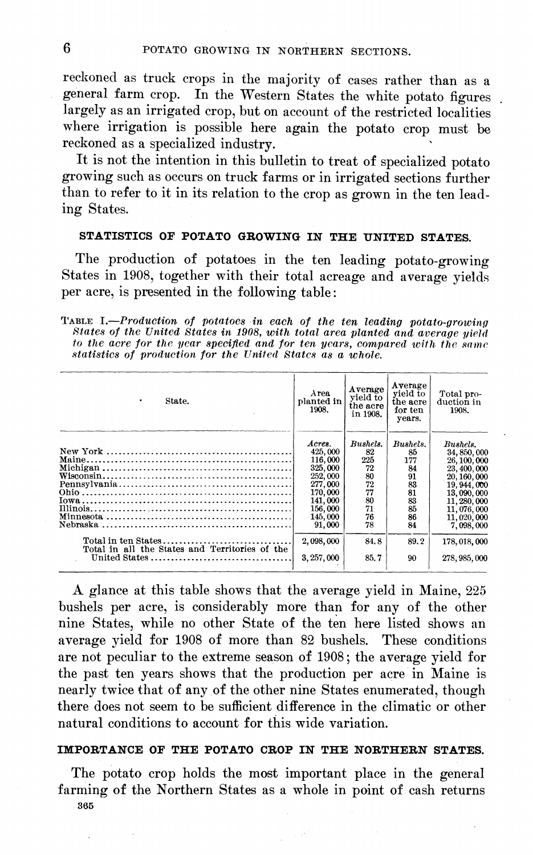reckoned as truck crops in the majority of cases rather than as a general farm crop. In the Western States the white potato figures largely as an irrigated crop, but on account of the restricted localities where irrigation is possible here again the potato crop must be reckoned as a specialized industry.

It is not the intention in this bulletin to treat of specialized potato growing such as occurs on truck farms or in irrigated sections further than to refer to it in its relation to the crop as grown in the ten leading States.

### **STATISTICS OF POTATO GROWING IN THE UNITED STATES.**

The production of potatoes in the ten leading potato-growing States in 1908, together with their total acreage and average yields per acre, is presented in the following table :

TABLE I.—*Production of potatoes in each of the ten leading potato-growing States of the United States in 1908, with total area planted and average yield* to the acre for the year specified and for ten years, compared with the same<br>statistics of production for the United States as a whole.

| State.<br>٠                                                     | Area.<br>planted in<br>1908.                                                                                        | Average<br>vield to<br>the acre<br>in 1908.                           | Average<br>vield to<br>the acre<br>for ten<br>vears.                  | Total pro-<br>duction in<br>1908.                                                                                                                               |
|-----------------------------------------------------------------|---------------------------------------------------------------------------------------------------------------------|-----------------------------------------------------------------------|-----------------------------------------------------------------------|-----------------------------------------------------------------------------------------------------------------------------------------------------------------|
|                                                                 | Acres.<br>425,000<br>116,000<br>325,000<br>252,000<br>277,000<br>170,000<br>141,000<br>156,000<br>145,000<br>91,000 | Bushels.<br>82<br>225<br>72<br>80<br>72<br>77<br>80<br>71<br>76<br>78 | Bushels.<br>85<br>177<br>84<br>91<br>83<br>81<br>83<br>85<br>86<br>84 | Bushels.<br>34, 850, 000<br>26, 100, 000<br>23, 400, 000<br>20, 160, 000<br>19, 944, 000<br>13,090,000<br>11, 280, 000<br>11,076,000<br>11,020,000<br>7,098,000 |
| Total in all the States and Territories of the<br>United States | 2,098,000<br>3, 257, 000                                                                                            | 84.8<br>85.7                                                          | 89.2<br>90                                                            | 178,018,000<br>278, 985, 000                                                                                                                                    |

A glance at this table shows that the average yield in Maine, 225 bushels per acre, is considerably more than for any of the other nine States, while no other State of the ten here listed shows an average yield for 1908 of more than 82 bushels. These conditions are not peculiar to the extreme season of 1908 ; the average yield for the past ten years shows that the production per acre in Maine is nearly twice that of any of the other nine States enumerated, though there does not seem to be sufficient difference in the climatic or other natural conditions to account for this wide variation.

#### **IMPORTANCE OF THE POTATO CROP IN THE NORTHERN STATES.**

The potato crop holds the most important place in the general farming of the Northern States as a whole in point of cash returns 365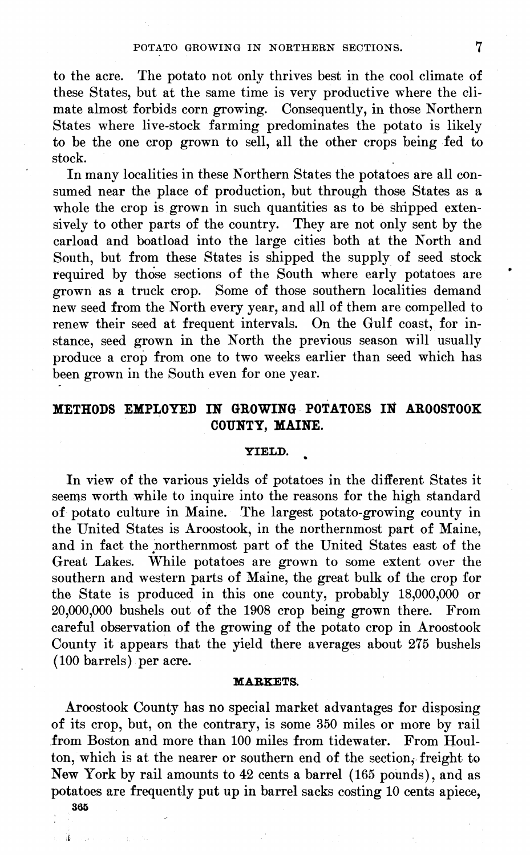to the acre. The potato not only thrives best in the cool climate of these States, but at the same time is very productive where the climate almost forbids corn growing. Consequently, in those Northern States where live-stock farming predominates the potato is likely to be the one crop grown to sell, all the other crops being fed to stock.

In many localities in these Northern States the potatoes are all consumed near the place of production, but through those States as a whole the crop is grown in such quantities as to be shipped extensively to other parts of the country. They are not only sent by the carload and boatload into the large cities both at the North and South, but from these States is shipped the supply of seed stock required by those sections of the South where early potatoes are grown as a truck crop. Some of those southern localities demand new seed from the North every year, and all of them are compelled to renew their seed at frequent intervals. On the Gulf coast, for instance, seed grown in the North the previous season will usually produce a crop from one to two weeks earlier than seed which has been grown in the South even for one year.

# **METHODS EMPLOYED IN GROWING POTATOES IN AR00ST00K COUNTY, MAINE.**

#### **YIELD.**

In view of the various yields of potatoes in the different States it seems worth while to inquire into the reasons for the high standard of potato culture in Maine. The largest potato-growing county in the United States is Aroostook, in the northernmost part of Maine, and in fact the northernmost part of the United States east of the Great Lakes. While potatoes are grown to some extent over the southern and western parts of Maine, the great bulk of the crop for the State is produced in this one county, probably 18,000,000 or 20,000,000 bushels out of the 1908 crop being grown there. From careful observation of the growing of the potato crop in Aroostook County it appears that the yield there averages about 275 bushels ( 100 barrels) per acre.

#### **MABKETS.**

Aroostook County has no special market advantages for disposing of its crop, but, on the contrary, is some 350 miles or more by rail from Boston and more than 100 miles from tidewater. From Houlton, which is at the nearer or southern end of the section, freight to New York by rail amounts to 42 cents a barrel (165 pounds), and as potatoes are frequently put up in barrel sacks costing 10 cents apiece,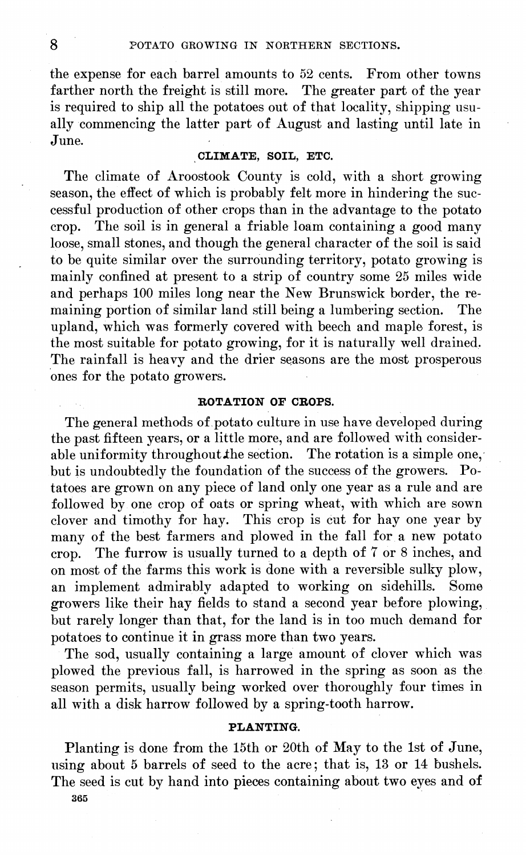the expense for each barrel amounts to 52 cents. From other towns farther north the freight is still more. The greater part of the year is required to ship all the potatoes out of that locality, shipping usually commencing the latter part of August and lasting until late in June.

#### **CLIMATE, SOIL, ETC.**

The climate of Aroostook County is cold, with a short growing season, the effect of which is probably felt more in hindering the successful production of other crops than in the advantage to the potato crop. The soil is in general a friable loam containing a good many loose, small stones, and though the general character of the soil is said to be quite similar over the surrounding territory, potato growing is mainly confined at present to a strip of country some  $25$  miles wide and perhaps 100 miles long near the New Brunswick border, the re-<br>maining portion of similar land still being a lumbering section. The maining portion of similar land still being a lumbering section. upland, which was formerly covered with beech and maple forest, is the most suitable for potato growing, for it is naturally well drained. The rainfall is heavy and the drier seasons are the most prosperous ones for the potato growers.

#### **ROTATION OF CBOPS.**

The general methods of potato culture in use have developed during the past fifteen years, or a little more, and are followed with considerable uniformity throughout the section. The rotation is a simple one, but is undoubtedly the foundation of the success of the growers. Potatoes are grown on any piece of land only one year as a rule and are followed by one crop of oats or spring wheat, with which are sown clover and timothy for hay. This crop is cut for hay one year by many of the best farmers and plowed in the fall for a new potato crop. The furrow is usually turned to a depth of 7 or 8 inches, and on most of the farms this work is done with a reversible sulky plow, an implement admirably adapted to working on sidehills. Some growers like their hay fields to stand a second year before plowing, but rarely longer than that, for the land is in too much demand for potatoes to continue it in grass more than two years.

The sod, usually containing a large amount of clover which was plowed the previous fall, is harrowed in the spring as soon as the season permits, usually being worked over thoroughly four times in all with a disk harrow followed by a spring-tooth harrow.

#### **PLANTING.**

Planting is done from the 15th or 20th of May to the 1st of June, using about 5 barrels of seed to the acre; that is, 13 or 14 bushels. The seed is cut by hand into pieces containing about two eyes and of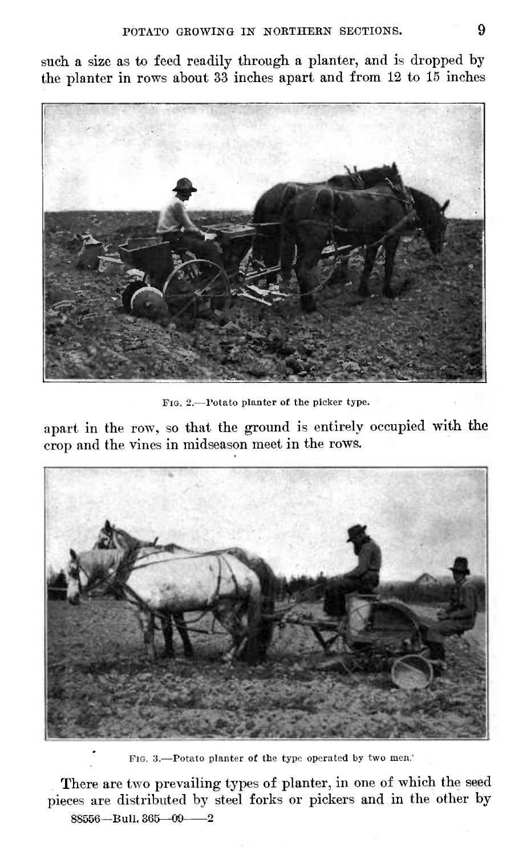such a size as to feed readily through a planter, and is dropped by the planter in rows about 33 inches apart and from 12 to 15 inches



PIG. 2.—Potato planter of the picker type.

apart in the row, so that the ground is entirely occupied with the crop and the vines in midseason meet in the rows.



FIG. 3.—Potato planter of the type operated by two men.'

There are two prevailing types of planter, in one of which the seed pieces are distributed by steel forks or pickers and in the other by 88556—Bull. 365—09——2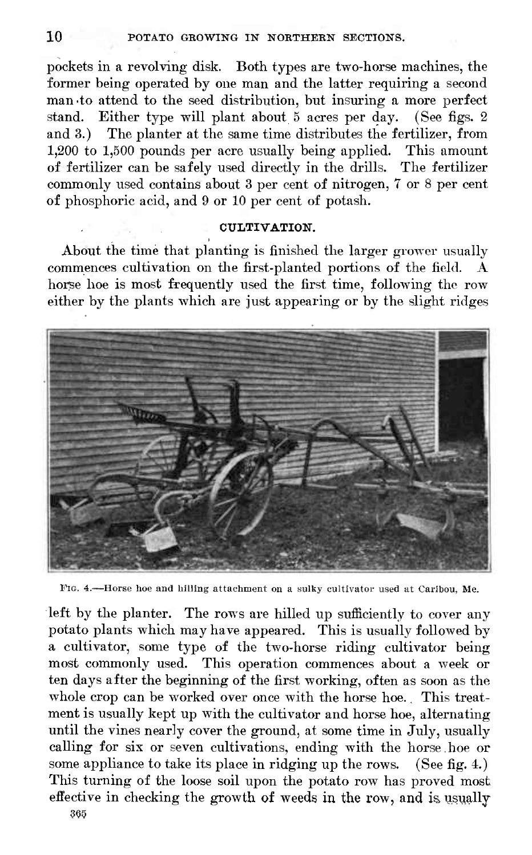pockets in a revolving disk. Both types are two-horse machines, the former being operated by one man and the latter requiring a second man-to attend to the seed distribution, but insuring a more perfect stand. Either type will plant about <sup>5</sup> acres per day. (See figs. 2 and 3.) The planter at the same time distributes the fertilizer, from 1,200 to 1,500 pounds per acre usually being applied. This amount of fertilizer can be safely used directly in the drills. The fertilizer commonly used contains about 3 per cent of nitrogen, 7 or 8 per cent of phosphoric acid, and 9 or 10 per cent of potash.

#### **CULTIVATION.**

About the time that planting is finished the larger grower usually commences cultivation on the first-planted portions of the field. A horse hoe is most frequently used the first time, following the row either by the plants which are just appearing or by the slight ridges



PIG. 4.—Horse hoe and hilling attachment on a sulky cultivator used at Caribou, Me.

left by the planter. The rows are hilled up sufficiently to cover any potato plants which may have appeared. This is usually followed by a cultivator, some type of the two-horse riding cultivator being most commonly used. This operation commences about a week or ten days after the beginning of the first working, often as soon as the whole crop can be worked over once with the horse hoe. This treatment is usually kept up with the cultivator and horse hoe, alternating until the vines nearly cover the ground, at some time in July, usually calling for six or seven cultivations, ending with the horse.hoe or some appliance to take its place in ridging up the rows. (See fig. 4.) This turning of the loose soil upon the potato row has proved most effective in checking the growth of weeds in the row, and is usually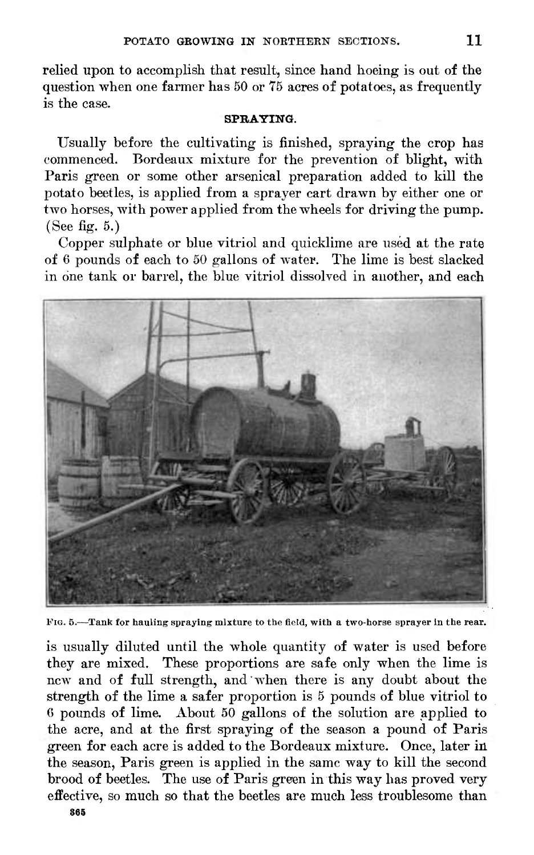relied upon to accomplish that result, since hand hoeing is out of the question when one farmer has 60 or 75 acres of potatoes, as frequently is the case.

#### **SPRAYING.**

Usually before the cultivating is finished, spraying the crop has commenced. Bordeaux mixture for the prevention of blight, with Paris green or some other arsenical preparation added to kill the potato beetles, is applied from a sprayer cart drawn by either one or two horses, with power applied from the wheels for driving the pump. (See fig. 5.)

Copper sulphate or blue vitriol and quicklime are used at the rate of 6 pounds of each to 50 gallons of water. The lime is best slacked in one tank or barrel, the blue vitriol dissolved in another, and each



FIG. 5.-—Tank (or hauling spraying mixture to the field, with a two-horse sprayer in the rear.

is usually diluted until the whole quantity of water is used before they are mixed. These proportions are safe only when the lime is new and of full strength, and when there is any doubt about the strength of the lime a safer proportion is <sup>5</sup> pounds of blue vitriol to 6 pounds of lime. About 50 gallons of the solution are applied to the acre, and at the first spraying of the season a pound of Paris green for each acre is added to the Bordeaux mixture. Once, later in the season, Paris green is applied in the same way to kill the second brood of beetles. The use of Paris green in this way has proved very effective, so much so that the beetles are much less troublesome than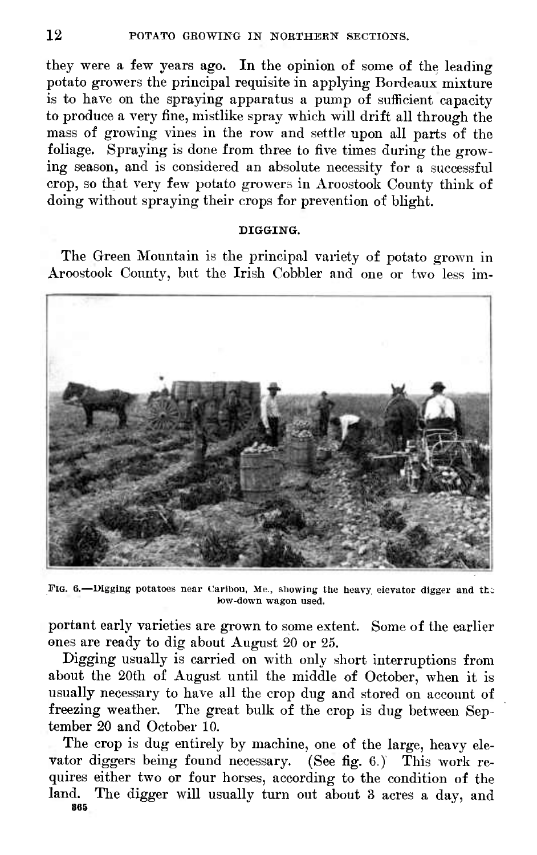they were a few years ago. In the opinion of some of the leading potato growers the principal requisite in applying Bordeaux mixture is to have on the spraying apparatus a pump of sufficient capacity to produce a very fine, mistlike spray which will drift all through the mass of growing vines in the row and settle upon all parts of the foliage. Spraying is done from three to five times during the growing season, and is considered an absolute necessity for a successful crop, so that very few potato growers in Aroostook County think of doing without spraying their crops for prevention of blight.

#### **DIGGING.**

The Green Mountain is the principal variety of potato grown in Aroostook County, but the Irish Cobbler and one or two less im-



FIG. 6.—Digging potatoes near Caribou, Me., showing the heavy elevator digger and the low-down wagon used.

portant early varieties are grown to some extent. Some of the earlier ones are ready to dig about August 20 or 25.

Digging usually is carried on with only short interruptions from about the 20th of August until the middle of October, when it is usually necessary to have all the crop dug and stored on account of freezing weather. The great bulk of the crop is dug between September 20 and October Í0.

The crop is dug entirely by machine, one of the large, heavy elevator diggers being found necessary. (See fig. 6.) This work requires either two or four horses, according to the condition of the land. The digger will usually turn out about 3 acres a day, and **865**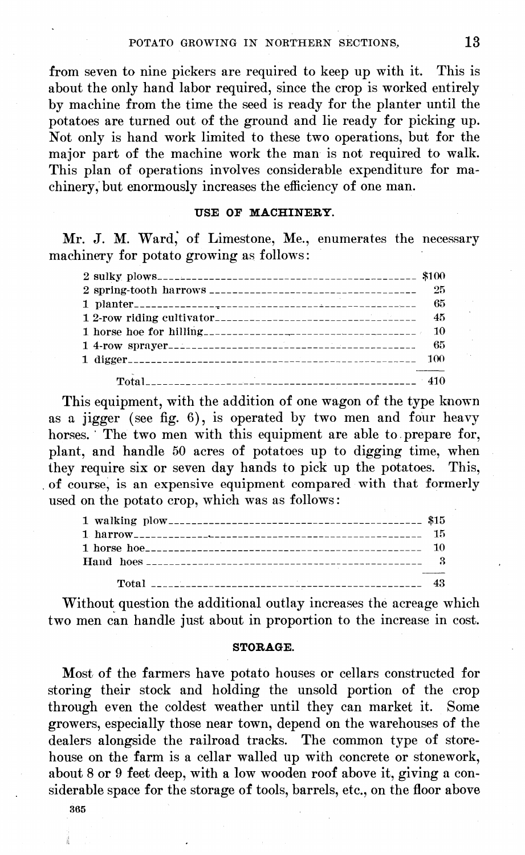from seven to nine pickers are required to keep up with it. This is about the only hand labor required, since the crop is worked entirely by machine from the time the seed is ready for the planter until the potatoes are turned out of the ground and lie ready for picking up. Not only is hand work limited to these two operations, but for the major part of the machine work the man is not required to walk. This plan of operations involves considerable expenditure for machinery, but enormously increases the efficiency of one man.

#### **USE OF MACHINERY.**

Mr. J. M. Ward, of Limestone, Me., enumerates the necessary machinery for potato growing as follows :

| - 45 |
|------|
|      |
|      |
|      |
|      |

This equipment, with the addition of one wagon of the type known as a jigger (see fig. 6), is operated by two men and four heavy horses. The two men with this equipment are able to prepare for, plant, and handle 50 acres of potatoes up to digging time, when they require six or seven day hands to pick up the potatoes. This, of course, is an expensive equipment compared with that formerly used on the potato crop, which was as follows :

| 15 |
|----|
|    |
|    |
|    |
| 43 |

Without question the additional outlay increases the acreage which two men can handle just about in proportion to the increase in cost.

#### **STORAGE.**

Most of the farmers have potato houses or cellars constructed for storing their stock and holding the unsold portion of the crop through even the coldest weather until they can market it. Some growers, especially those near town, depend on the warehouses of the dealers alongside the railroad tracks. The common type of storehouse on the farm is a cellar walled up with concrete or stonework, about 8 or 9 feet deep, with a low wooden roof above it, giving a considerable space for the storage of tools, barrels, etc., on the floor above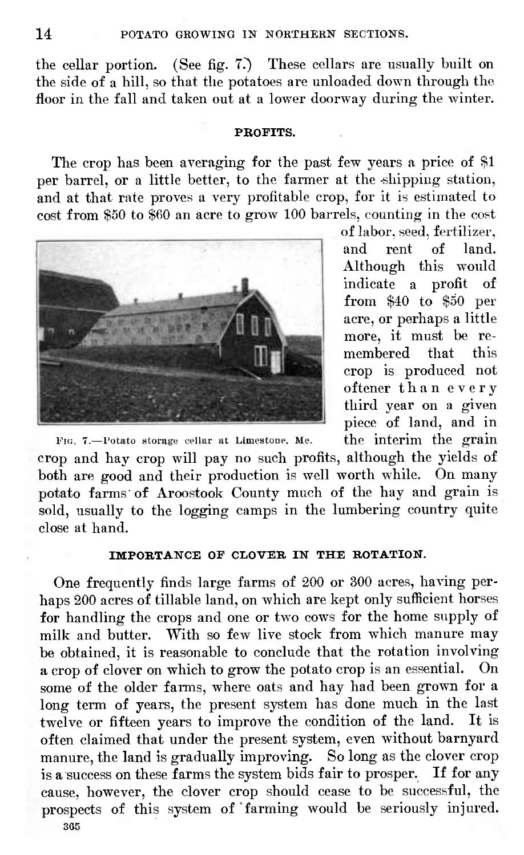the cellar portion. (See fig. 7?) These cellars are usually built on the side of a hill, so that the potatoes are unloaded down through the floor in the fall and taken out at a lower doorway during the winter.

#### **PROFITS.**

The crop has been averaging for the past few years a price of \$1 per barrel, or a little better, to the farmer at the shipping station, and at that rate proves a very profitable crop, for it is estimated to cost from \$50 to \$60 an acre to grow 100 barrels, counting in the cost



of labor, seed, fertilizer, and rent of land. Although this would indicate a profit of from \$40 to \$50 per acre, or perhaps a little more, it must be remembered that this crop is produced not oftener than every third year on a given piece of land, and in

FIG. 7.—Potato storage cellar at Limestone, Me.  $\qquad$  the interim the grain crop and hay crop will pay no such profits, although the yields of both are good and their production is well worth while. On many potato farms of Aroostook County much of the hay and grain is sold, usually to the logging camps in the lumbering country quite close at hand.

#### **IMPORTANCE OF CLOVER IN THE ROTATION.**

One frequently finds large farms of 200 or 300 acres, having perhaps 200 acres of tillable land, on which are kept only sufficient horses for handling the crops and one or two cows for the home supply of milk and butter. "With so few live stock from which manure may be obtained, it is reasonable to conclude that the rotation involving a crop of clover on which to grow the potato crop is an essential. On some of the older farms, where oats and hay had been grown for a long term of years, the present system has done much in the last twelve or fifteen years to improve the condition of the land. It is often claimed that under the present system, even without barnyard manure, the land is gradually improving. So long as the clover crop is a success on these farms the system bids fair to prosper. If for any cause, however, the clover crop should cease to be successful, the prospects of this system of farming would be seriously injured. 365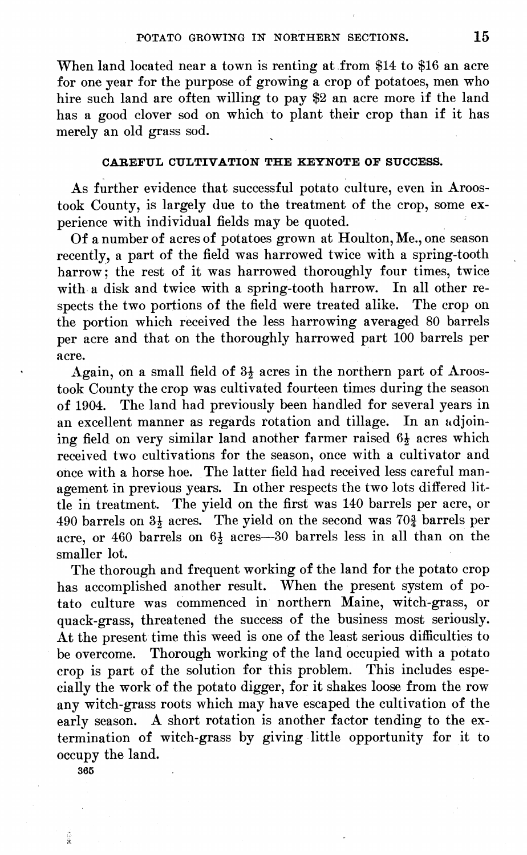When land located near a town is renting at from \$14 to \$16 an acre for one year for the purpose of growing a crop of potatoes, men who hire such land are often willing to pay \$2 an acre more if the land has a good clover sod on which to plant their crop than if it has merely an old grass sod.

#### **CABEFUL CULTIVATION THE KEYNOTE OP SUCCESS.**

As further evidence that successful potato culture, even in Aroostook County, is largely due to the treatment of the crop, some experience with individual fields may be quoted.

Of a number of acres of potatoes grown at Houlton, Me., one season recently, a part of the field was harrowed twice with a spring-tooth harrow; the rest of it was harrowed thoroughly four times, twice with a disk and twice with a spring-tooth harrow. In all other respects the two portions of the field were treated alike. The crop on spects the two portions of the field were treated alike. the portion which received the less harrowing averaged 80 barrels per acre and that on the thoroughly harrowed part 100 barrels per acre.

Again, on a small field of  $3\frac{1}{2}$  acres in the northern part of Aroostook County the crop was cultivated fourteen times during the season of 1904. The land had previously been handled for several years in an excellent manner as regards rotation and tillage. In an adjoining field on very similar land another farmer raised 64 acres which received two cultivations for the season, once with a cultivator and once with a horse hoe. The latter field had received less careful management in previous years. In other respects the two lots differed little in treatment. The yield on the first was 140 barrels per acre, or 490 barrels on  $3\frac{1}{2}$  acres. The yield on the second was  $70\frac{3}{2}$  barrels per acre, or 460 barrels on 6£ acres—30 barrels less in all than on the smaller lot.

The thorough and frequent working of the land for the potato crop has accomplished another result. When the present system of potato culture was commenced in northern Maine, witch-grass, or quack-grass, threatened the success of the business most seriously. At the present time this weed is one of the least serious difficulties to be overcome. Thorough working of the land occupied with a potato crop is part of the solution for this problem. This includes especially the work of the potato digger, for it shakes loose from the row any witch-grass roots which may have escaped the cultivation of the early season. A short rotation is another factor tending to the extermination of witch-grass by giving little opportunity for it to occupy the land.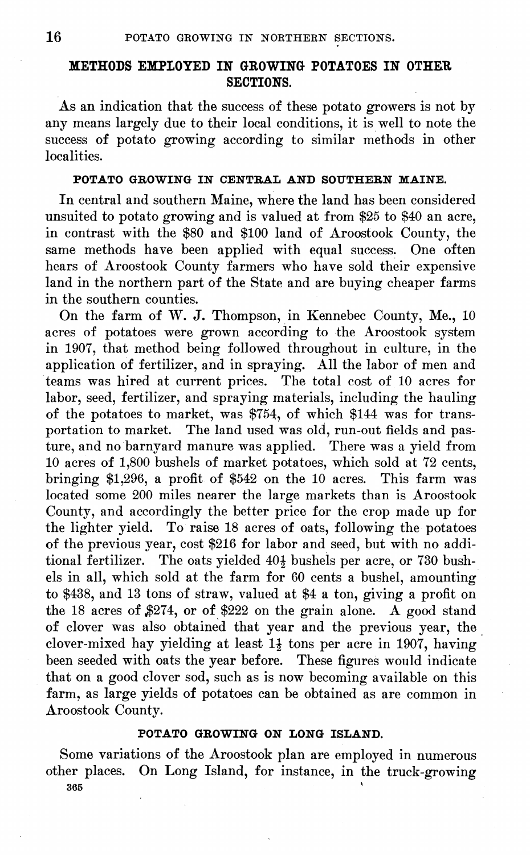### **METHODS EMPLOYED IN GROWING POTATOES IN OTHER SECTIONS.**

As an indication that the success of these potato growers is not by any means largely due to their local conditions, it is well to note the success of potato growing according to similar methods in other localities.

# **POTATO GROWING IN CENTRAL AND SOUTHERN MAINE.**

In central and southern Maine, where the land has been considered unsuited to potato growing and is valued at from \$25 to \$40 an acre, in contrast with the \$80 and \$100 land of Aroostook County, the same methods have been applied with equal success. One often hears of Aroostook County farmers who have sold their expensive land in the northern part of the State and are buying cheaper farms in the southern counties.

On the farm of W. J. Thompson, in Kennebec County, Me., 10 acres of potatoes were grown according to the Aroostook system in 1907, that method being followed throughout in culture, in the application of fertilizer, and in spraying. All the labor of men and teams was hired at current prices. The total cost of 10 acres for labor, seed, fertilizer, and spraying materials, including the hauling of the potatoes to market, was \$754, of which \$144 was for transportation to market. The land used was old, run-out fields and pasture, and no barnyard manure was applied. There was a yield from 10 acres of 1,800 bushels of market potatoes, which sold at 72 cents, bringing \$1,296, a profit of \$542 on the 10 acres. This farm was located some 200 miles nearer the large markets than is Aroostook County, and accordingly the better price for the crop made up for the lighter yield. To raise 18 acres of oats, following the potatoes of the previous year, cost \$216 for labor and seed, but with no additional fertilizer. The oats yielded 40<sup>1</sup> bushels per acre, or 730 bushels in all, which sold at the farm for 60 cents a bushel, amounting to \$438, and 13 tons of straw, valued at \$4 a ton, giving a profit on the 18 acres of \$274, or of \$222 on the grain alone. A good stand of clover was also obtained that year and the previous year, the clover-mixed hay yielding at least  $1\frac{1}{2}$  tons per acre in 1907, having been seeded with oats the year before. These figures would indicate that on a good clover sod, such as is now becoming available on this farm, as large yields of potatoes can be obtained as are common in Aroostook County.

#### **POTATO GROWING ON LONG ISLAND.**

Some variations of the Aroostook plan are employed in numerous other places. On Long Island, for instance, in the truck-growing  $365$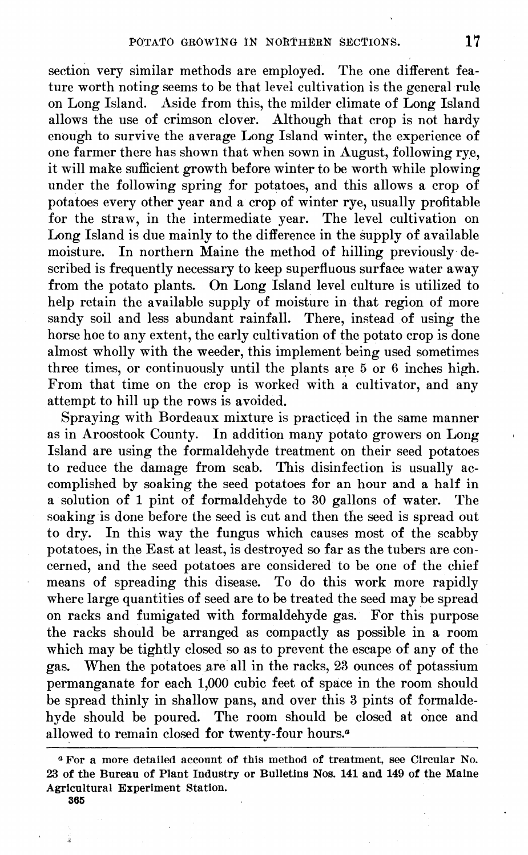section very similar methods are employed. The one different feature worth noting seems to be that level cultivation is the general rule on Long Island. Aside from this, the milder climate of Long Island allows the use of crimson clover. Although that crop is not hardy enough to survive the average Long Island winter, the experience of one farmer there has shown that when sown in August, following rye, it will make sufficient growth before winter to be worth while plowing under the following spring for potatoes, and this allows a crop of potatoes every other year and a crop of winter rye, usually profitable for the straw, in the intermediate year. The level cultivation on Long Island is due mainly to the difference in the supply of available moisture. In northern Maine the method of hilling previously described is frequently necessary to keep superfluous surface water away from the potato plants. On Long Island level culture is utilized to help retain the available supply of moisture in that region of more sandy soil and less abundant rainfall. There, instead of using the horse hoe to any extent, the early cultivation of the potato crop is done almost wholly with the weeder, this implement being used sometimes three times, or continuously until the plants are  $5\,\overline{\text{or}}\,6$  inches high. From that time on the crop is worked with a cultivator, and any attempt to hill up the rows is avoided.

Spraying with Bordeaux mixture is practiced in the same manner as in Aroostook County. In addition many potato growers on Long Island are using the formaldehyde treatment on their seed potatoes to reduce the damage from scab. This disinfection is usually accomplished by soaking the seed potatoes for an hour and a half in a solution of <sup>1</sup> pint of formaldehyde to 30 gallons of water. The soaking is done before the seed is cut and then the seed is spread out to dry. In this way the fungus which causes most of the scabby potatoes, in the East at least, is destroyed so far as the tubers are concerned, and the seed potatoes are considered to be one of the chief means of spreading this disease. To do this work more rapidly where large quantities of seed are to be treated the seed may be spread on racks and fumigated with formaldehyde gas. For this purpose the racks should be arranged as compactly as possible in a room which may be tightly closed so as to prevent the escape of any of the gas. When the potatoes are all in the racks, 23 ounces of potassium When the potatoes are all in the racks, 23 ounces of potassium permanganate for each 1,000 cubic feet of space in the room should be spread thinly in shallow pans, and over this 3 pints of formaldehyde should be poured. The room should be closed at once and allowed to remain closed for twenty-four hours.<sup>6</sup>

*<sup>a</sup>* For a more detailed account of this method of treatment, see Circular No. 23 of the Bureau of Plant Industry or Bulletins Nos. 141 and 149 of the Maine Agricultural Experiment Station.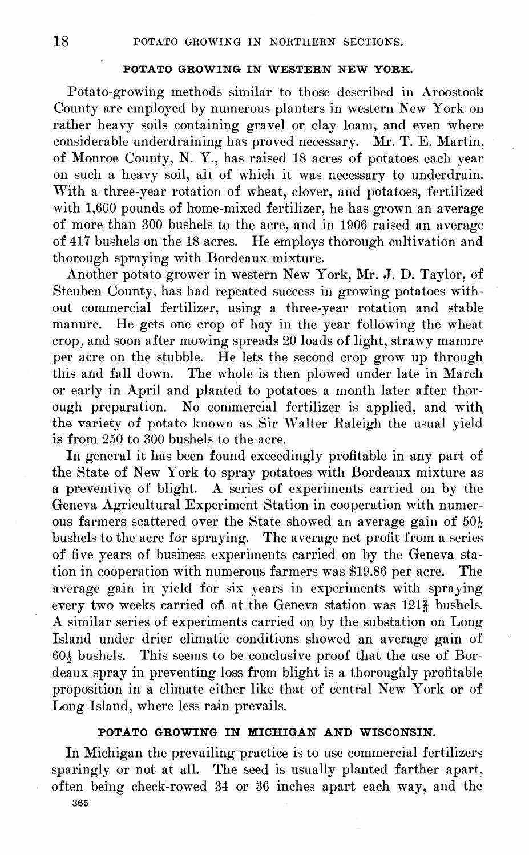#### **POTATO GROWING IN WESTERN NEW YORK.**

Potato-growing methods similar to those described in Aroostook County are employed by numerous planters in western New York on rather heavy soils containing gravel or clay loam, and even where considerable underdraining has proved necessary. Mr. T. E. Martin, of Monroe County, N. Y., has raised 18 acres of potatoes each year on such a heavy soil, all of which it was necessary to underdrain. With a three-year rotation of wheat, clover, and potatoes, fertilized with 1,600 pounds of home-mixed fertilizer, he has grown an average of more than 300 bushels to the acre, and in 1906 raised an average of 417 bushels on the 18 acres. He employs thorough cultivation and thorough spraying with Bordeaux mixture.

Another potato grower in western New York, Mr. J. D. Taylor, of Steuben County, has had repeated success in growing potatoes without commercial fertilizer, using a three-year rotation and stable manure. He gets one crop of hay in the year following the wheat crop, and soon after mowing spreads 20 loads of light, strawy manure per acre on the stubble. He lets the second crop grow up through this and fall down. The whole is then plowed under late in March or early in April and planted to potatoes a month later after thorough preparation. No commercial fertilizer is applied, and with the variety of potato known as Sir Walter Raleigh the usual yield is from 250 to 300 bushels to the acre.

In general it has been found exceedingly profitable in any part of the State of New York to spray potatoes with Bordeaux mixture as a preventive of blight. A series of experiments carried on by the Geneva Agricultural Experiment Station in cooperation with numerous farmers scattered over the State showed an average gain of  $50\frac{1}{5}$ bushels to the acre for spraying. The average net profit from a series of five years of business experiments carried on by the Geneva station in cooperation with numerous farmers was \$19.86 per acre. The average gain in yield for six years in experiments with spraying every two weeks carried on at the Geneva station was 121<sup>3</sup> bushels. A similar series of experiments carried on by the substation on Long Island under drier climatic conditions showed an average gain of  $60\frac{1}{9}$  bushels. This seems to be conclusive proof that the use of Bordeaux spray in preventing loss from blight is a thoroughly profitable proposition in a climate either like that of central New York or of Long Island, where less rain prevails.

#### **POTATO GROWING IN MICHIGAN AND WISCONSIN.**

In Michigan the prevailing practice is to use commercial fertilizers sparingly or not at all. The seed is usually planted farther apart, often being check-rowed 34 or 36 inches apart each way, and the 365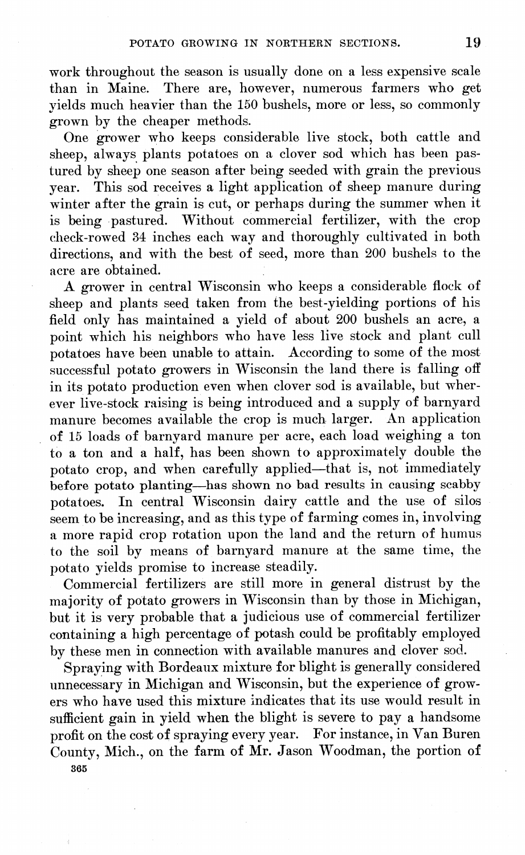work throughout the season is usually done on a less expensive scale than in Maine. There are, however, numerous farmers who get yields much heavier than the 150 bushels, more or less, so commonly grown by the cheaper methods.

One grower who keeps considerable live stock, both cattle and sheep, always plants potatoes on a clover sod which has been pastured by sheep one season after being seeded with grain the previous year. This sod receives a light application of sheep manure during winter after the grain is cut, or perhaps during the summer when it is being pastured. Without commercial fertilizer, with the crop check-rowed 34 inches each way and thoroughly cultivated in both directions, and with the best of seed, more than 200 bushels to the acre are obtained.

A grower in central Wisconsin who keeps a considerable flock of sheep and plants seed taken from the best-yielding portions of his field only has maintained a yield of about 200 bushels an acre, a point which his neighbors who have less live stock and plant cull potatoes have been unable to attain. According to some of the most successful potato growers in Wisconsin the land there is falling off in its potato production even when clover sod is available, but wherever live-stock raising is being introduced and a supply of barnyard manure becomes available the crop is much larger. An application of 15 loads of barnyard manure per acre, each load weighing a ton to a ton and a half, has been shown to approximately double the potato crop, and when carefully applied—that is, not immediately before potato planting—has shown no bad results in causing scabby potatoes. In central Wisconsin dairy cattle and the use of silos seem to be increasing, and as this type of farming comes in, involving a more rapid crop rotation upon the land and the return of humus to the soil by means of barnyard manure at the same time, the potato yields promise to increase steadily.

Commercial fertilizers are still more in general distrust by the majority of potato growers in Wisconsin than by those in Michigan, but it is very probable that a judicious use of commercial fertilizer containing a high percentage of potash could be profitably employed by these men in connection with available manures and clover sod.

Spraying with Bordeaux mixture for blight is generally considered unnecessary in Michigan and Wisconsin, but the experience of growers who have used this mixture indicates that its use would result in sufficient gain in yield when the blight is severe to pay a handsome profit on the cost of spraying every year. For instance, in Van Buren County, Mich., on the farm of Mr. Jason Woodman, the portion of 365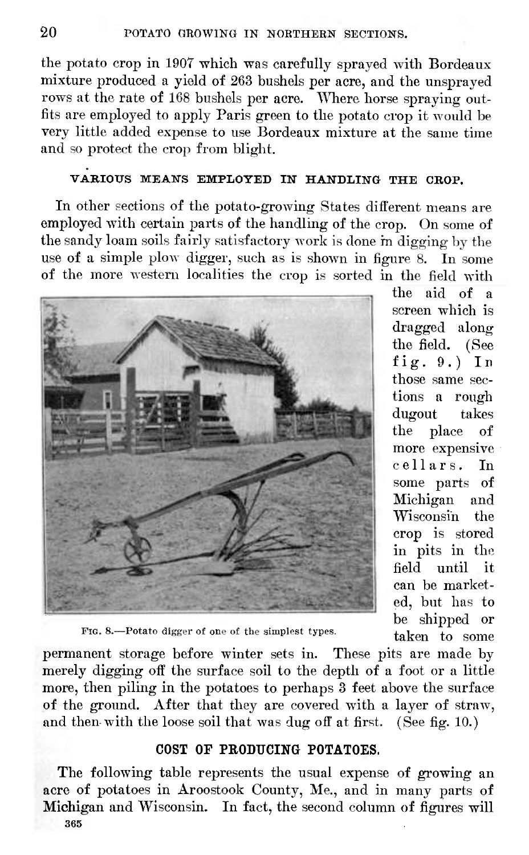the potato crop in 1907 which was carefully sprayed with Bordeaux mixture produced a yield of 263 bushels per acre, and the unsprayed rows at the rate of 168 bushels per acre. Where horse spraying outfits are employed to apply Paris green to the potato crop it would be very little added expense to use Bordeaux mixture at the same time and so protect the crop from blight.

# **VABIOXTS MEANS EMPLOYED IN HANDLING THE CHOP.**

In other sections of the potato-growing States different means are employed with certain parts of the handling of the crop. On some of the sandy loam soils fairly satisfactory work is done m digging by the use of a simple plow digger, such as is shown in figure 8. In some of the more western localities the crop is sorted in the field with



the aid of a screen which is dragged along the field. (See fig.  $9.$ ) In those same sections a rough dugout takes the place of more expensive cellars. In some parts of Michigan and Wisconsin the crop is stored in pits in the field until it can be marketed, but has to be shipped or taken to some

FIG. 8.—Potato digger of one of the simplest types.

permanent storage before winter sets in. These pits are made by merely digging off the surface soil to the depth of a foot or a little more, then piling in the potatoes to perhaps 3 feet above the surface of the ground. After that they are covered with a layer of straw, and then with the loose soil that was dug off at first. (See fig. 10.)

# COST OF PRODUCING POTATOES.

The following table represents the usual expense of growing an acre of potatoes in Aroostook County, Me., and in many parts of Michigan and Wisconsin. In fact, the second column of figures will 365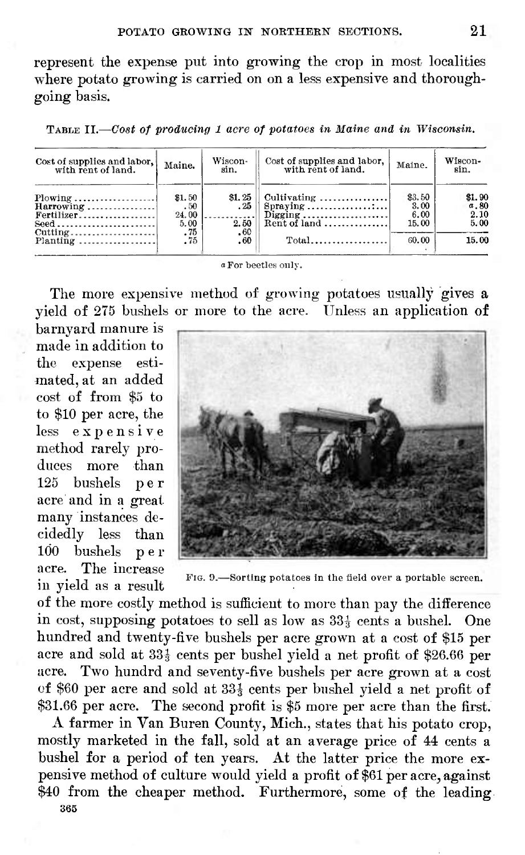represent the expense put into growing the crop in most localities where potato growing is carried on on a less expensive and thoroughgoing basis.

TABLE II.—Cosí *of producing <sup>1</sup> acre of potatoes in Maine and in Wisconsin.*

| Cost of supplies and labor.<br>with rent of land.                                                                         | Maine.                         | Wiscon-<br>sin.          | Cost of supplies and labor,<br>with rent of land. | Maine.                          | Wiscon-<br>sin.                |
|---------------------------------------------------------------------------------------------------------------------------|--------------------------------|--------------------------|---------------------------------------------------|---------------------------------|--------------------------------|
| $Plowing$<br>$Harrowing \dots \dots \dots \dots$<br>Fertilizer<br>$\text{Seed} \dots \dots \dots \dots \dots \dots \dots$ | \$1.50<br>.50<br>24.00<br>5.00 | \$1, 25<br>$-25$<br>2.50 | $Cultivating$<br>Digging<br>Rent of land          | \$3.50<br>3.00<br>6.00<br>15.00 | \$1.90<br>a.80<br>2.10<br>5.00 |
| $Cutting$<br>Planting                                                                                                     | $\frac{.75}{.75}$              | .60<br>.60               | $Total$                                           | 60.00                           | 15.00                          |

« For beetles only.

The more expensive method of growing potatoes usually gives a yield of 275 bushels or more to the acre. Unless an application of

barnyard manure is made in addition to the expense estimated, at an added cost of from \$5 to to \$10 per acre, the less expensive method rarely produces more than <sup>125</sup> bushels per acre and in a great many instances decidedly less than 100 bushels p e r acre. The increase in yield as a result



FIG. 0.—Sorting potatoes in the field over a portable screen.

of the more costly method is sufficient to more than pay the difference in cost, supposing potatoes to sell as low as  $33\frac{1}{3}$  cents a bushel. One hundred and twenty-five bushels per acre grown at a cost of \$15 per acre and sold at  $33\frac{1}{3}$  cents per bushel yield a net profit of \$26.66 per acre. Two hundrd and seventy-five bushels per acre grown at a cost of \$60 per acre and sold at  $33\frac{1}{3}$  cents per bushel yield a net profit of \$31.66 per acre. The second profit is \$5 more per acre than the first.

A farmer in Van Buren County, Mich., states that his potato crop, mostly marketed in the fall, sold at an average price of 44 cents a bushel for a period of ten years. At the latter price the more expensive method of culture would yield a profit of \$61 per acre, against \$40 from the cheaper method. Furthermore, some of the leading 365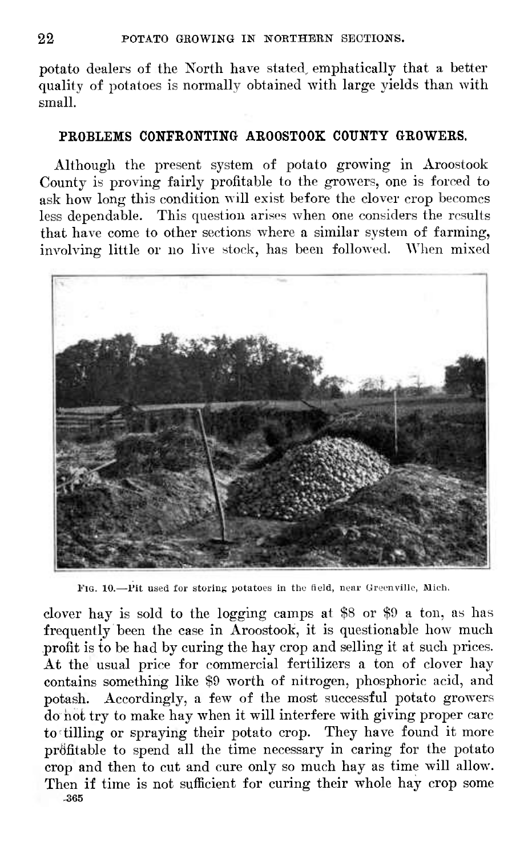potato dealers of the North have stated, emphatically that a better quality of potatoes is normally obtained with large yields than with small.

#### **PROBLEMS CONFRONTING AROOSTOOK COUNTY GROWERS.**

Although the present system of potato growing in Aroostook County is proving fairly profitable to the growers, one is forced to ask how long this condition will exist before the clover crop becomes less dependable. This question arises when one considers the results that have come to other sections where a similar system of farming, involving little or no live stock, has been followed. When mixed



FIG. 10.—Pit used for storing potatoes in the field, near Greenville, Mich.

clover hay is sold to the logging camps at \$8 or \$9 a ton, as has frequently been the case in Aroostook, it is questionable how much profit is to be had by curing the hay crop and selling it at such prices. At the usual price for commercial fertilizers a ton of clover hay contains something like \$9 worth of nitrogen, phosphoric acid, and potash. Accordingly, a few of the most successful potato growers do not try to make hay when it will interfere with giving proper care to tilling or spraying their potato crop. They have found it more profitable to spend all the time necessary in caring for the potato crop and then to cut and cure only so much hay as time will allow. Then if time is not sufficient for curing their whole hay crop some -365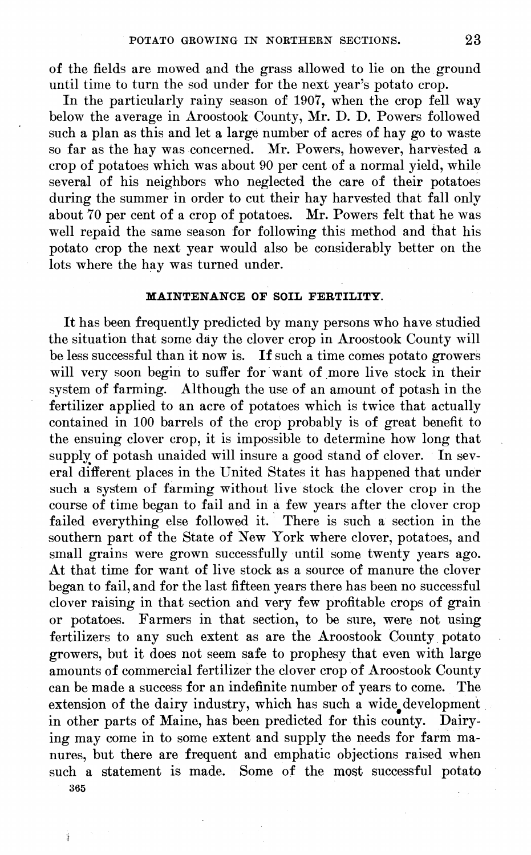of the fields are mowed and the grass allowed to lie on the ground until time to turn the sod under for the next year's potato crop.

In the particularly rainy season of 1907, when the crop fell way below the average in Aroostook County, Mr. D. D. Powers followed such a plan as this and let a large number of acres of hay go to waste so far as the hay was concerned. Mr. Powers, however, harvested a crop of potatoes which was about 90 per cent of a normal yield, while several of his neighbors who neglected the care of their potatoes during the summer in order to cut their hay harvested that fall only about 70 per cent of a crop of potatoes. Mr. Powers felt that he was well repaid the same season for following this method and that his potato crop the next year would also be considerably better on the lots where the hay was turned under.

#### **MAINTENANCE OF SOIL FERTILITY.**

It has been frequently predicted by many persons who have studied the situation that some day the clover crop in Aroostook County will be less successful than it now is. If such a time comes potato growers will very soon begin to suffer for want of more live stock in their system of farming. Although the use of an amount of potash in the fertilizer applied to an acre of potatoes which is twice that actually contained in 100 barrels of the crop probably is of great benefit to the ensuing clover crop, it is impossible to determine how long that supply of potash unaided will insure a good stand of clover. In several different places in the United States it has happened that under such a system of farming without live stock the clover crop in the course of time began to fail and in a few years after the clover crop failed everything else followed it. There is such a section in the southern part of the State of New York where clover, potatoes, and small grains were grown successfully until some twenty years ago. At that time for want of live stock as a source of manure the clover began to fail, and for the last fifteen years there has been no successful clover raising in that section and very few profitable crops of grain or potatoes. Farmers in that section, to be sure, were not using fertilizers to any such extent as are the Aroostook County potato growers, but it does not seem safe to prophesy that even with large amounts of commercial fertilizer the clover crop of Aroostook County can be made a success for an indefinite number of years to come. The extension of the dairy industry, which has such a wide development in other parts of Maine, has been predicted for this county. Dairying may come in to some extent and supply the needs for farm manures, but there are frequent and emphatic objections raised when such a statement is made. Some of the most successful potato 365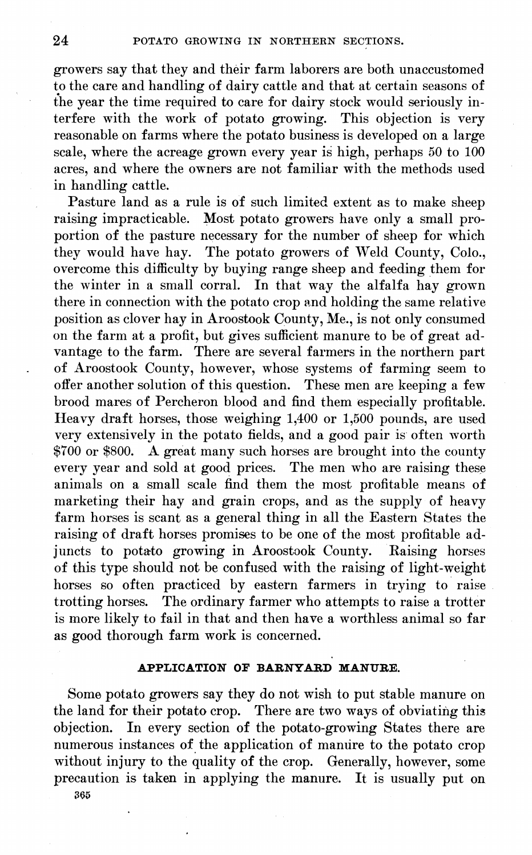growers say that they and their farm laborers are both unaccustomed to the care and handling of dairy cattle and that at certain seasons of the year the time required to care for dairy stock would seriously interfere with the work of potato growing. This objection is very reasonable on farms where the potato business is developed on a large scale, where the acreage grown every year is high, perhaps 50 to 100 acres, and where the owners are not familiar with the methods used in handling cattle.

Pasture land as a rule is of such limited extent as to make sheep raising impracticable. Most potato growers have only a small proportion of the pasture necessary for the number of sheep for which they would have hay. The potato growers of Weld County, Colo., overcome this difficulty by buying range sheep and feeding them for the winter in a small corral. In that way the alfalfa hay grown there in connection with the potato crop and holding the same relative position as clover hay in Aroostook County, Me., is not only consumed on the farm at a profit, but gives sufficient manure to be of great advantage to the farm. There are several farmers in the northern part of Aroostook County, however, whose systems of farming seem to offer another solution of this question. These men are keeping a few brood mares of Percheron blood and find them especially profitable. Heavy draft horses, those weighing 1,400 or 1,500 pounds, are used very extensively in the potato fields, and a good pair is often worth \$700 or \$800. A great many such horses are brought into the county every year and sold at good prices. The men who are raising these animals on a small scale find them the most profitable means of marketing their hay and grain crops, and as the supply of heavy farm horses is scant as a general thing in all the Eastern States the raising of draft horses promises to be one of the most profitable adjuncts to potato growing in Aroostook County. Eaising horses of this type should not be confused with the raising of light-weight horses so often practiced by eastern farmers in trying to raise trotting horses. The ordinary farmer who attempts to raise a trotter is more likely to fail in that and then have a worthless animal so far as good thorough farm work is concerned.

#### **APPLICATION OF BARNYABD MANUEE.**

Some potato growers say they do not wish to put stable manure on the land for their potato crop. There are two ways of obviating this objection. In every section of the potato-growing States there are numerous instances of the application of manure to the potato crop without injury to the quality of the crop. Generally, however, some precaution is taken in applying the manure. It is usually put on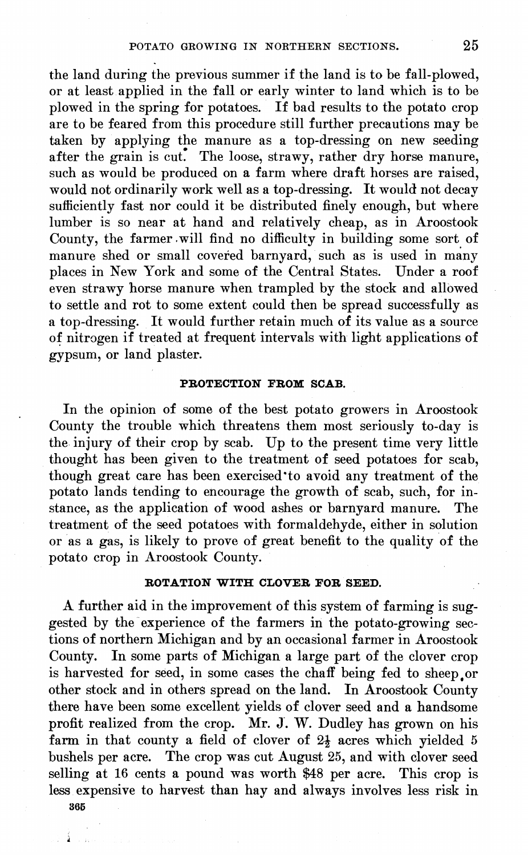the land during the previous summer if the land is to be fall-plowed, or at least applied in the fall or early winter to land which is to be plowed in the spring for potatoes. If bad results to the potato crop are to be feared from this procedure still further precautions may be taken by applying the manure as a top-dressing on new seeding after the grain is cut. The loose, strawy, rather dry horse manure, such as would be produced on a farm where draft horses are raised, would not ordinarily work well as a top-dressing. It would not decay sufficiently fast nor could it be distributed finely enough, but where lumber is so near at hand and relatively cheap, as in Aroostook County, the farmer .will find no difficulty in building some sort of manure shed or small covered barnyard, such as is used in many places in New York and some of the Central States. Under a roof even strawy horse manure when trampled by the stock and allowed to settle and rot to some extent could then be spread successfully as a top-dressing. It would further retain much of its value as a source of nitrogen if treated at frequent intervals with light applications of gypsum, or land plaster.

#### **PBOTECTION FROM SCAB.**

In the opinion of some of the best potato growers in Aroostook County the trouble which threatens them most seriously to-day is the injury of their crop by scab. Up to the present time very little thought has been given to the treatment of seed potatoes for scab, though great care has been exercised\*to avoid any treatment of the potato lands tending to encourage the growth of scab, such, for instance, as the application of wood ashes or barnyard manure. The treatment of the seed potatoes with formaldehyde, either in solution or as a gas, is likely to prove of great benefit to the quality of the potato crop in Aroostook County.

#### **ROTATION WITH CLOVER FOR SEED.**

A further aid in the improvement of this system of farming is suggested by the experience of the farmers in the potato-growing sections of northern Michigan and by an occasional farmer in Aroostook County. In some parts of Michigan a large part of the clover crop is harvested for seed, in some cases the chaff being fed to sheep or other stock and in others spread on the land. In Aroostook County there have been some excellent yields of clover seed and a handsome profit realized from the crop. Mr. J. W. Dudley has grown on his farm in that county a field of clover of  $2\frac{1}{2}$  acres which yielded 5 bushels per acre. The crop was cut August 25, and with clover seed selling at 16 cents a pound was worth \$48 per acre. This crop is less expensive to harvest than hay and always involves less risk in **365**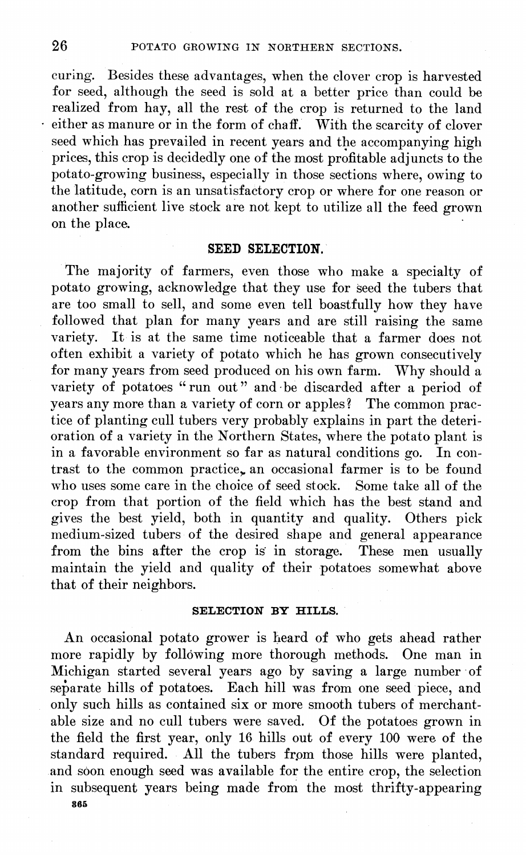curing. Besides these advantages, when the clover crop is harvested for seed, although the seed is sold at a better price than could be realized from hay, all the rest of the crop is returned to the land either as manure or in the form of chaff. With the scarcity of clover seed which has prevailed in recent years and the accompanying high prices, this crop is decidedly one of the most profitable adjuncts to the potato-growing business, especially in those sections where, owing to the latitude, corn is an unsatisfactory crop or where for one reason or another sufficient live stock are not kept to utilize all the feed grown on the place.

#### SEED SELECTION.

The majority of farmers, even those who make a specialty of potato growing, acknowledge that they use for seed the tubers that are too small to sell, and some even tell boastfully how they have followed that plan for many years and are still raising the same variety. It is at the same time noticeable that <sup>a</sup> farmer does not often exhibit a variety of potato which he has grown consecutively for many years from seed produced on his own farm. Why should a variety of potatoes "run out" and be discarded after a period of years any more than a variety of corn or apples ? The common practice of planting cull tubers very probably explains in part the deterioration of a variety in the Northern States, where the potato plant is in a favorable environment so far as natural conditions go. In contrast to the common practice, an occasional farmer is to be found who uses some care in the choice of seed stock. Some take all of the crop from that portion of the field which has the best stand and gives the best yield, both in quantity and quality. Others pick medium-sized tubers of the desired shape and general appearance from the bins after the crop is in storage. These men usually maintain the yield and quality of their potatoes somewhat above that of their neighbors.

#### **SELECTION BY HILLS.**

An occasional potato grower is heard of who gets ahead rather more rapidly by following more thorough methods. One man in Michigan started several years ago by saving a large number of separate hills of potatoes. Each hill was from one seed piece, and only such hills as contained six or more smooth tubers of merchantable size and no cull tubers were saved. Of the potatoes grown in the field the first year, only 16 hills out of every 100 were of the standard required. All the tubers from those hills were planted, and soon enough seed was available for the entire crop, the selection in subsequent years being made from the most thrifty-appearing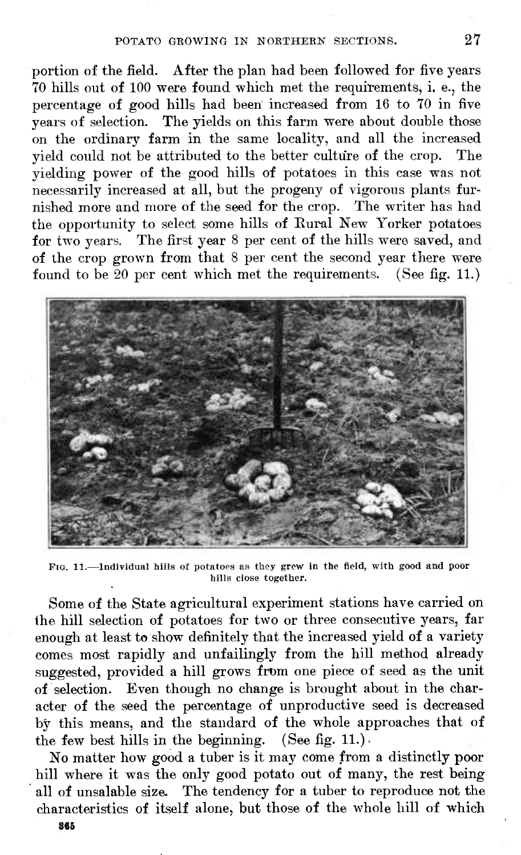portion of the field. After the plan had been followed for five years 70 hills out of 100 were found which met the requirements, i. e., the percentage of good hills had been increased from 16 to 70 in five years of selection. The yields on this farm were about double those on the ordinary farm in the same locality, and all the increased yield could not be attributed to the better culture of the crop. The yielding power of the good hills of potatoes in this case was not necessarily increased at all, but the progeny of vigorous plants furnished more and more of the seed for the crop. The writer has had the opportunity to select some hills of Eural New Yorker potatoes for two years. The first year 8 per cent of the hills were saved, and of the crop grown from that 8 per cent the second year there were found to be  $20$  per cent which met the requirements. (See fig. 11.)



FIG. 11.-Individual hills of potatoes as they grew in the field, with good and poor hills close together.

Some of the State agricultural experiment stations have carried on the hill selection of potatoes for two or three consecutive years, far enough at least to show definitely that the increased yield of a variety comes most rapidly and unfailingly from the hill method already suggested, provided a hill grows from one piece of seed as the unit of selection. Even though no change is brought about in the character of the seed the percentage of unproductive seed is decreased by this means, and the standard of the whole approaches that of the few best hills in the beginning. (See fig. 11.).

No matter how good a tuber is it may come from a distinctly poor hill where it was the only good potato out of many, the rest being all of unsalable size. The tendency for a tuber to reproduce not the characteristics of itself alone, but those of the whole hill of which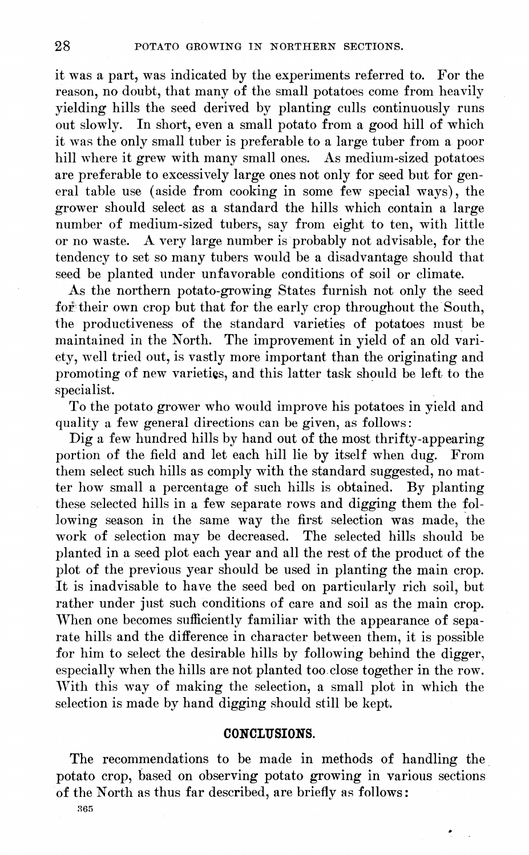it was a part, was indicated by the experiments referred to. For the reason, no doubt, that many of the small potatoes come from heavily yielding hills the seed derived by planting culls continuously runs out slowly. In short, even a small potato from a good hill of which it was the only small tuber is preferable to a large tuber from a poor hill where it grew with many small ones. As medium-sized potatoes are preferable to excessively large ones not only for seed but for general table use (aside from cooking in some few special ways), the grower should select as a standard the hills which contain a large number of medium-sized tubers, say from eight to ten, with little or no waste. A very large number is probably not advisable, for the tendency to set so many tubers would be a disadvantage should that seed be planted under unfavorable conditions of soil or climate.

As the northern potato-growing States furnish not only the seed for their own crop but that for the early crop throughout the South, the productiveness of the standard varieties of potatoes must be maintained in the North. The improvement in yield of an old variety, well tried out, is vastly more important than the originating and promoting of new varieties, and this latter task should be left to the specialist.

To the potato grower who would improve his potatoes in yield and quality a few general directions can be given, as follows :

Dig a few hundred hills by hand out of the most thrifty-appearing portion of the field and let each hill lie by itself when dug. From them select such hills as comply with the standard suggested, no matter how small a percentage of such hills is obtained. By planting these selected hills in a few separate rows and digging them the following season in the same way the first selection was made, the work of selection may be decreased. The selected hills should be planted in a seed plot each year and all the rest of the product of the plot of the previous year should be used in planting the main crop. It is inadvisable to have the seed bed on particularly rich soil, but rather under just such conditions of care and soil as the main crop. When one becomes sufficiently familiar with the appearance of separate hills and the difference in character between them, it is possible for him to select the desirable hills by following behind the digger, especially when the hills are not planted too close together in the row. With this way of making the selection, a small plot in which the selection is made by hand digging should still be kept.

#### CONCLUSIONS.

The recommendations to be made in methods of handling the potato crop, based on observing potato growing in various sections of the North as thus far described, are briefly as follows: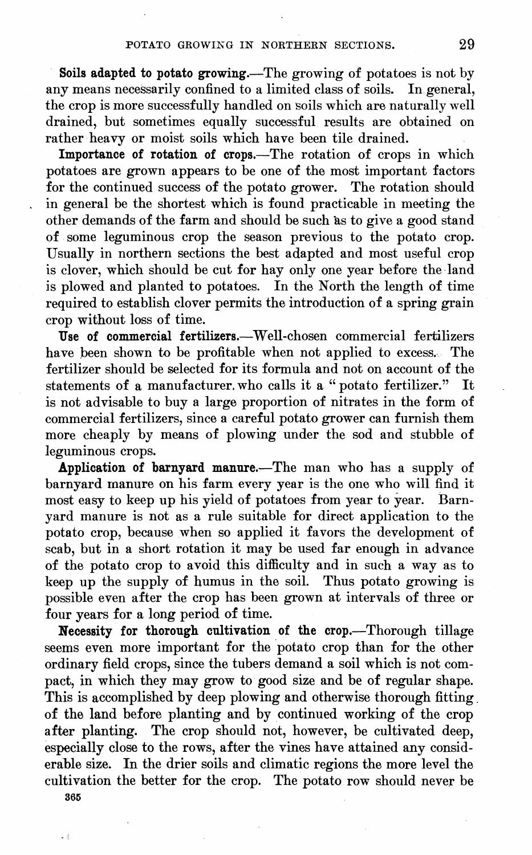**Soils adapted to potato growing.**—The growing of potatoes is not by any means necessarily confined to a limited class of soils. In general, the crop is more successfully handled on soils which are naturally well drained, but sometimes equally successful results are obtained on rather heavy or moist soils which have been tile drained.

**Importance of rotation of crops.**—The rotation of crops in which potatoes are grown appears to be one of the most important factors for the continued success of the potato grower. The rotation should in general be the shortest which is found practicable in meeting the other demands of the farm and should be such ks to give a good stand of some leguminous crop the season previous to the potato crop. Usually in northern sections the best adapted and most useful crop is clover, which should be cut for hay only one year before the land is plowed and planted to potatoes. In the North the length of time required to establish clover permits the introduction of a spring grain crop without loss of time.

**Use of commercial fertilizers.**—Well-chosen commercial fertilizers have been shown to be profitable when not applied to excess. The fertilizer should be selected for its formula and not on account of the statements of a manufacturer.who calls it a "potato fertilizer." It is not advisable to buy a large proportion of nitrates in the form of commercial fertilizers, since a careful potato grower can furnish them more cheaply by means of plowing under the sod and stubble of leguminous crops.

**Application of barnyard manure.**—The man who has a supply of barnyard manure on his farm every year is the one who will find it most easy to keep up his yield of potatoes from year to year. Barnyard manure is not as a rule suitable for direct application to the potato crop, because when so applied it favors the development of scab, but in a short rotation it may be used far enough in advance of the potato crop to avoid this difficulty and in such a way as to keep up the supply of humus in the soil. Thus potato growing is possible even after the crop has been grown at intervals of three or four years for a long period of time.

**Necessity for thorough cultivation of the crop.**—Thorough tillage seems even more important for the potato crop than for the other ordinary field crops, since the tubers demand a soil which is not compact, in which they may grow to good size and be of regular shape. This is accomplished by deep plowing and otherwise thorough fitting. of the land before planting and by continued working of the crop after planting. The crop should not, however, be cultivated deep, especially close to the rows, after the vines have attained any considerable size. In the drier soils and climatic regions the more level the cultivation the better for the crop. The potato row should never be

365

. š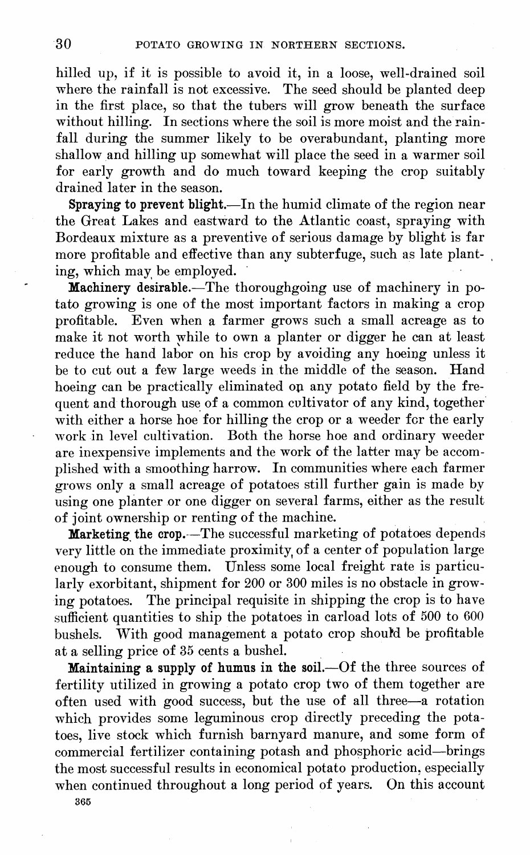hilled up, if it is possible to avoid it, in a loose, well-drained soil where the rainfall is not excessive. The seed should be planted deep in the first place, so that the tubers will grow beneath the surface without hilling. In sections where the soil is more moist and the rainfall during the summer likely to be overabundant, planting more shallow and hilling up somewhat will place the seed in a warmer soil for early growth and do much toward keeping the crop suitably drained later in the season.

**Spraying to prevent blight.**—In the humid climate of the region near the Great Lakes and eastward to the Atlantic coast, spraying with Bordeaux mixture as a preventive of serious damage by blight is far more profitable and effective than any subterfuge, such as late planting, which may be employed.

**Machinery desirable.**—The thoroughgoing use of machinery in potato growing is one of the most important factors in making a crop profitable. Even when a farmer grows such a small acreage as to make it not worth while to own a planter or digger he can at least reduce the hand labor on his crop by avoiding any hoeing unless it be to cut out a few large weeds in the middle of the season. Hand hoeing can be practically eliminated op any potato field by the frequent and thorough use of a common cultivator of any kind, together with either a horse hoe for hilling the crop or a weeder for the early work in level cultivation. Both the horse hoe and ordinary weeder are inexpensive implements and the work of the latter may be accomplished with a smoothing harrow. In communities where each farmer grows only a small acreage of potatoes still further gain is made by using one planter or one digger on several farms, either as the result of joint ownership or renting of the machine.

**Marketing the crop.**—The successful marketing of potatoes depends very little on the immediate proximity of a center of population large enough to consume them. Unless some local freight rate is particularly exorbitant, shipment for 200 or 300 miles is no obstacle in growing potatoes. The principal requisite in shipping the crop is to have sufficient quantities to ship the potatoes in carload lots of 500 to 600 bushels. With good management a potato crop should be profitable at a selling price of 35 cents a bushel.

**Maintaining a supply of humns in the soil.**—Of the three sources of fertility utilized in growing a potato crop two of them together are often used with good success, but the use of all three—a rotation which provides some leguminous crop directly preceding the potatoes, live stock which furnish barnyard manure, and some form of commercial fertilizer containing potash and phosphoric acid—brings the most successful results in economical potato production, especially when continued throughout a long period of years. On this account 365